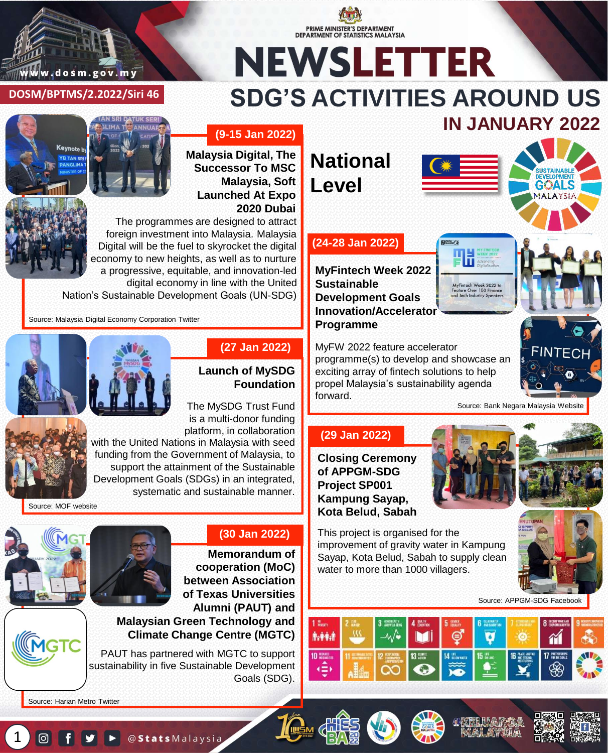

#### **DOSM/BPTMS/2.2022/Siri 46**

# **NEWSLETTER SDG'S ACTIVITIES AROUND US IN JANUARY 2022**







**Malaysia Digital, The Successor To MSC Malaysia, Soft Launched At Expo 2020 Dubai**

The programmes are designed to attract foreign investment into Malaysia. Malaysia Digital will be the fuel to skyrocket the digital economy to new heights, as well as to nurture a progressive, equitable, and innovation-led digital economy in line with the United

Nation's Sustainable Development Goals (UN-SDG)

Source: Malaysia Digital Economy Corporation Twitter



#### **(27 Jan 2022)**

#### **Launch of MySDG Foundation**

The MySDG Trust Fund is a multi-donor funding platform, in collaboration

with the United Nations in Malaysia with seed funding from the Government of Malaysia, to support the attainment of the Sustainable Development Goals (SDGs) in an integrated, systematic and sustainable manner.

Source: MOF website





#### **(30 Jan 2022)**

**Memorandum of cooperation (MoC) between Association of Texas Universities Alumni (PAUT) and Malaysian Green Technology and** 

### **Climate Change Centre (MGTC)**

PAUT has partnered with MGTC to support sustainability in five Sustainable Development Goals (SDG).

Source: Harian Metro Twitter

 $\left(1\right)$ 

## **National Level**

PRIME MINISTER'S DEPARTMENT DEPARTMENT OF STATISTICS MALAYSIA



#### **(24-28 Jan 2022)**

**MyFintech Week 2022 Sustainable Development Goals Innovation/Accelerator Programme**

Чħ MyFintech Week 2022 to<br>Feature Over 100 Finance<br>and Tech Industry Speaker



MyFW 2022 feature accelerator programme(s) to develop and showcase an exciting array of fintech solutions to help propel Malaysia's sustainability agenda forward.

Source: Bank Negara Malaysia Website

#### **(29 Jan 2022)**

**Closing Ceremony of APPGM-SDG Project SP001 Kampung Sayap, Kota Belud, Sabah**



This project is organised for the improvement of gravity water in Kampung Sayap, Kota Belud, Sabah to supply clean water to more than 1000 villagers.

Source: APPGM-SDG Facebook